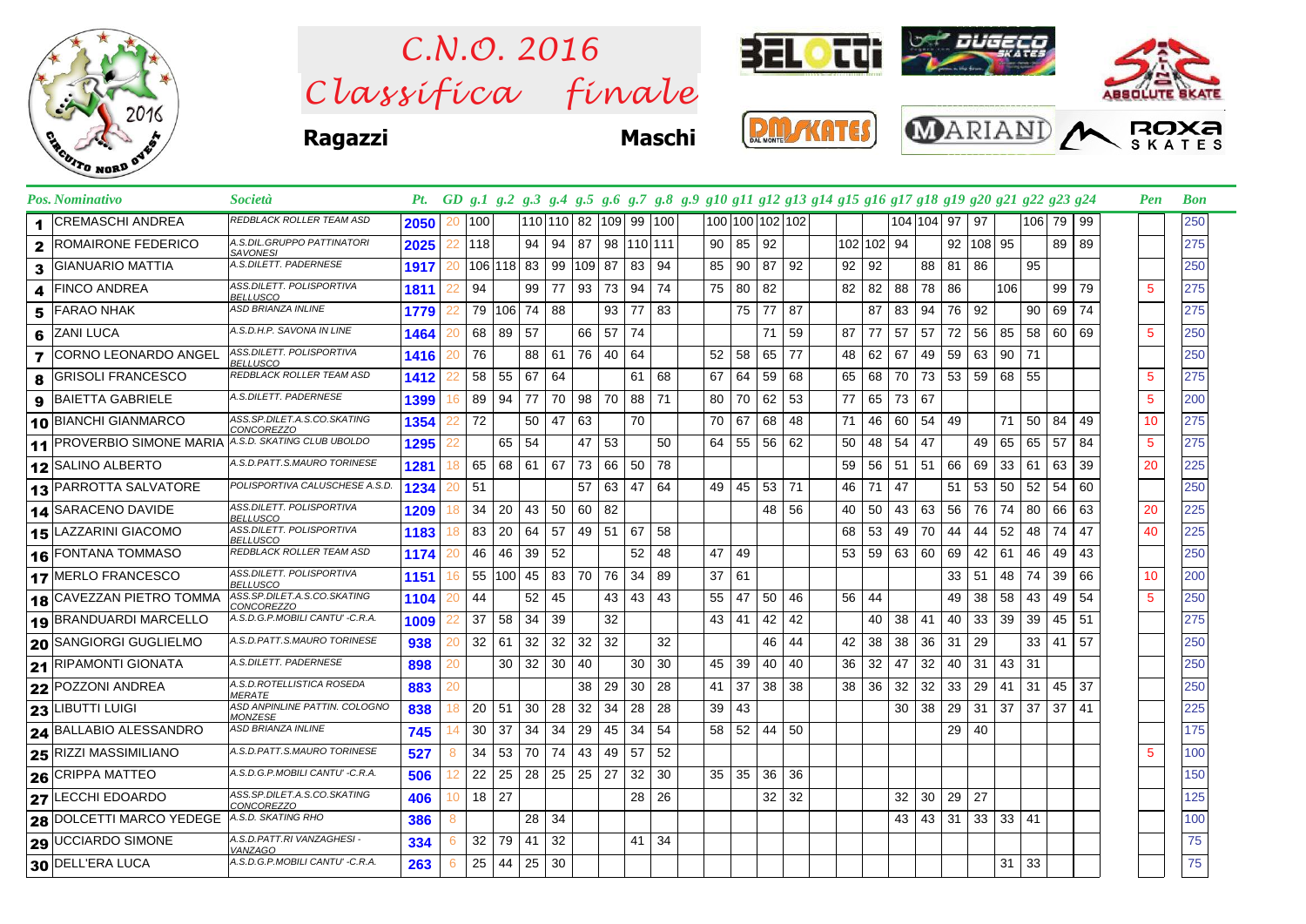

 $Clas$ s *ifica* finale *C.N.O. 2016*



**Ragazzi Maschi**







|                | Pos. Nominativo                  | <i>Società</i>                                   | Pt.  |    |     |               |    |    |                       |    |            |       |                 |     |                 |    | GD g.1 g.2 g.3 g.4 g.5 g.6 g.7 g.8 g.9 g10 g11 g12 g13 g14 g15 g16 g17 g18 g19 g20 g21 g22 g23 g24 |            |     |            |    |        |              |     |        |    | Pen | <b>Bon</b> |
|----------------|----------------------------------|--------------------------------------------------|------|----|-----|---------------|----|----|-----------------------|----|------------|-------|-----------------|-----|-----------------|----|----------------------------------------------------------------------------------------------------|------------|-----|------------|----|--------|--------------|-----|--------|----|-----|------------|
| 1              | ICREMASCHI ANDREA                | REDBLACK ROLLER TEAM ASD                         | 2050 | 20 | 100 |               |    |    | 110 110 82 109 99 100 |    |            |       |                 |     | 100 100 102 102 |    |                                                                                                    |            |     | 104 104 97 |    | 97     |              |     | 106 79 | 99 |     | 250        |
| $\mathbf{2}$   | ROMAIRONE FEDERICO               | A.S.DIL.GRUPPO PATTINATORI<br><b>SAVONESI</b>    | 2025 | 22 | 118 |               | 94 | 94 | - 87                  |    | 98 110 111 |       | 90 <sub>1</sub> | 85  | 92              |    |                                                                                                    | 102 102 94 |     |            | 92 | 108 95 |              |     | 89     | 89 |     | 275        |
| 3              | <b>GIANUARIO MATTIA</b>          | A.S.DILETT. PADERNESE                            | 1917 | 20 |     | 106 118 83    |    | 99 | 109                   | 87 | 83         | -94   | 85              | 90  | 87              | 92 | 92                                                                                                 | 92         |     | 88         | 81 | 86     |              | 95  |        |    |     | 250        |
| 4              | <b>FINCO ANDREA</b>              | ASS.DILETT. POLISPORTIVA<br>BELLUSCO             | 1811 | 22 | 94  |               | 99 | 77 | 93                    | 73 | 94         | 74    | 75              | 80  | 82              |    | 82                                                                                                 | 82         | 88  | 78         | 86 |        | 106          |     | 99     | 79 | 5   | 275        |
| 5              | FARAO NHAK                       | ASD BRIANZA INLINE                               | 1779 |    |     | 79   106   74 |    | 88 |                       | 93 | 77         | -83   |                 | 75  | 77              | 87 |                                                                                                    | 87         | 83  | 94         | 76 | 92     |              | 90  | 69     | 74 |     | 275        |
| 6              | <b>ZANI LUCA</b>                 | A.S.D.H.P. SAVONA IN LINE                        | 1464 |    |     | 68 89         | 57 |    | 66                    | 57 | 74         |       |                 |     | 71              | 59 | 87                                                                                                 | 77         | 57  | 57         | 72 | 56     | 85           | 58  | 60     | 69 | 5   | 250        |
| $\overline{7}$ | CORNO LEONARDO ANGEL             | ASS.DILETT. POLISPORTIVA<br><b>BELLUSCO</b>      | 1416 | 20 | 76  |               | 88 | 61 | - 76                  | 40 | 64         |       | 52              | 58  | 65              | 77 | 48                                                                                                 | 62         | 67  | 49         | 59 | 63     | 90           | 71  |        |    |     | 250        |
| 8              | <b>GRISOLI FRANCESCO</b>         | REDBLACK ROLLER TEAM ASD                         | 1412 | 22 | 58  | 55            | 67 | 64 |                       |    | 61         | 68    | 67              | 64  | 59              | 68 | 65                                                                                                 | 68         | 70  | 73         | 53 | 59     | 68           | 55  |        |    | 5   | 275        |
| 9              | <b>BAIETTA GABRIELE</b>          | A.S.DILETT. PADERNESE                            | 1399 | 16 | 89  | 94            | 77 | 70 | 98                    | 70 | 88         | 71    | 80              | 70  | 62              | 53 | 77                                                                                                 | 65         | 73  | 67         |    |        |              |     |        |    | 5   | 200        |
|                | 10 BIANCHI GIANMARCO             | ASS.SP.DILET.A.S.CO.SKATING<br><b>CONCOREZZO</b> | 1354 |    | 72  |               | 50 | 47 | 63                    |    | 70         |       | 70 l            | 67  | 68              | 48 | 71                                                                                                 | 46         | 60  | 54         | 49 |        | 71           | 50  | 84     | 49 | 10  | 275        |
|                | <b>11 PROVERBIO SIMONE MARIA</b> | A.S.D. SKATING CLUB UBOLDO                       | 1295 |    |     | 65            | 54 |    | 47                    | 53 |            | 50    | 64              | 55  | 56              | 62 | 50                                                                                                 | 48         | 54  | 47         |    | 49     | 65           | 65  | 57     | 84 | 5   | 275        |
|                | 12 SALINO ALBERTO                | A.S.D.PATT.S.MAURO TORINESE                      | 1281 | 18 | 65  | 68            | 61 | 67 | 73                    | 66 | 50         | 78    |                 |     |                 |    | 59                                                                                                 | 56         | -51 | 51         | 66 | 69     | 33           | 61  | 63     | 39 | 20  | 225        |
|                | <b>13 PARROTTA SALVATORE</b>     | POLISPORTIVA CALUSCHESE A.S.D.                   | 1234 | 20 | -51 |               |    |    | 57                    | 63 | 47         | 64    | 49              | 45  | 53              | 71 | 46                                                                                                 | 71         | 47  |            | 51 | 53     | 50           | 52  | 54     | 60 |     | 250        |
|                | 14 SARACENO DAVIDE               | ASS.DILETT. POLISPORTIVA<br><b>BELLUSCO</b>      | 1209 | 18 | 34  | 20            | 43 | 50 | 60                    | 82 |            |       |                 |     | 48              | 56 | 40                                                                                                 | 50         | 43  | 63         | 56 | 76     | 74           | 80  | 66     | 63 | 20  | 225        |
|                | 15 LAZZARINI GIACOMO             | ASS.DILETT. POLISPORTIVA<br><b>BELLUSCO</b>      | 1183 | 18 | 83  | 20            | 64 | 57 | 49                    | 51 | 67         | 58    |                 |     |                 |    | 68                                                                                                 | 53         | 49  | 70         | 44 | 44     | 52           | 48  | 74     | 47 | 40  | 225        |
|                | 16 FONTANA TOMMASO               | REDBLACK ROLLER TEAM ASD                         | 1174 | 20 | 46  | 46            | 39 | 52 |                       |    | 52         | 48    | 47              | 49  |                 |    | 53                                                                                                 | 59         | 63  | 60         | 69 | 42     | 61           | 46  | 49     | 43 |     | 250        |
|                | 17 MERLO FRANCESCO               | ASS.DILETT. POLISPORTIVA<br>BELLUSCO             | 1151 | 16 | 55  | 100 45        |    | 83 | 70                    | 76 | 34         | 89    | 37              | 61  |                 |    |                                                                                                    |            |     |            | 33 | -51    | 48           | 74  | 39     | 66 | 10  | 200        |
|                | <b>18 CAVEZZAN PIETRO TOMMA</b>  | ASS.SP.DILET.A.S.CO.SKATING<br><i>CONCOREZZO</i> | 1104 | 20 | 44  |               | 52 | 45 |                       | 43 | 43         | 43    | 55              | 47  | 50              | 46 | 56                                                                                                 | 44         |     |            | 49 | 38     | 58           | 43  | 49     | 54 | 5   | 250        |
|                | 19 BRANDUARDI MARCELLO           | A.S.D.G.P.MOBILI CANTU' - C.R.A.                 | 1009 |    | 37  | 58            | 34 | 39 |                       | 32 |            |       | 43              | 41  | 42              | 42 |                                                                                                    | 40         | 38  | 41         | 40 | 33     | 39           | 39  | 45     | 51 |     | 275        |
|                | 20 SANGIORGI GUGLIELMO           | A.S.D.PATT.S.MAURO TORINESE                      | 938  | 20 | 32  | - 61          | 32 | 32 | -32                   | 32 |            | 32    |                 |     | 46              | 44 | 42                                                                                                 | 38         | 38  | 36         | 31 | 29     |              | 33  | 41     | 57 |     | 250        |
|                | 21 RIPAMONTI GIONATA             | A.S.DILETT. PADERNESE                            | 898  | 20 |     | 30            | 32 | 30 | 40                    |    | 30 I       | 30    | 45              | -39 | 40              | 40 | 36                                                                                                 | 32         | 47  | 32         | 40 | -31    | 43           | -31 |        |    |     | 250        |
|                | 22 POZZONI ANDREA                | A.S.D.ROTELLISTICA ROSEDA<br><i>MERATE</i>       | 883  | 20 |     |               |    |    | 38                    | 29 | 30         | 28    | 41              | 37  | 38              | 38 | 38                                                                                                 | 36         | 32  | 32         | 33 | 29     | 41           | 31  | 45     | 37 |     | 250        |
|                | 23 LIBUTTI LUIGI                 | ASD ANPINLINE PATTIN. COLOGNO<br><b>MONZESE</b>  | 838  | 18 | 20  | 51            | 30 | 28 | 32                    | 34 | 28         | 28    | 39              | 43  |                 |    |                                                                                                    |            | 30  | 38         | 29 | 31     | 37           | 37  | 37     | 41 |     | 225        |
|                | 24 BALLABIO ALESSANDRO           | ASD BRIANZA INLINE                               | 745  | 14 | 30  | 37            | 34 | 34 | 29                    | 45 | 34         | -54   | 58              | 52  | 44              | 50 |                                                                                                    |            |     |            | 29 | 40     |              |     |        |    |     | 175        |
|                | 25 RIZZI MASSIMILIANO            | A.S.D.PATT.S.MAURO TORINESE                      | 527  | 8  | 34  | 53            | 70 | 74 | 43                    | 49 | 57         | 52    |                 |     |                 |    |                                                                                                    |            |     |            |    |        |              |     |        |    | 5   | 100        |
|                | 26 CRIPPA MATTEO                 | A.S.D.G.P.MOBILI CANTU' -C.R.A.                  | 506  | 12 | 22  | 25            | 28 | 25 | 25                    | 27 | 32         | 30    | 35              | 35  | 36              | 36 |                                                                                                    |            |     |            |    |        |              |     |        |    |     | 150        |
| 27             | <b>LECCHI EDOARDO</b>            | ASS.SP.DILET.A.S.CO.SKATING<br>CONCOREZZO        | 406  | 10 | 18  | 27            |    |    |                       |    |            | 28 26 |                 |     | 32              | 32 |                                                                                                    |            | 32  | 30         | 29 | 27     |              |     |        |    |     | 125        |
|                | 28 DOLCETTI MARCO YEDEGE         | A.S.D. SKATING RHO                               | 386  | 8  |     |               | 28 | 34 |                       |    |            |       |                 |     |                 |    |                                                                                                    |            | 43  | 43         | 31 | 33     | $33 \mid 41$ |     |        |    |     | 100        |
|                | 29 UCCIARDO SIMONE               | A.S.D.PATT.RI VANZAGHESI -<br>VANZAGO            | 334  | 6  | 32  | 79            | 41 | 32 |                       |    | 41         | -34   |                 |     |                 |    |                                                                                                    |            |     |            |    |        |              |     |        |    |     | 75         |
|                | 30 DELL'ERA LUCA                 | A.S.D.G.P.MOBILI CANTU' -C.R.A.                  | 263  | 6  | 25  | 44            | 25 | 30 |                       |    |            |       |                 |     |                 |    |                                                                                                    |            |     |            |    |        | 31           | 33  |        |    |     | 75         |